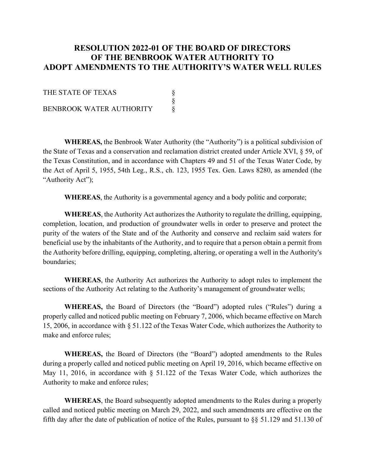## **RESOLUTION 2022-01 OF THE BOARD OF DIRECTORS OF THE BENBROOK WATER AUTHORITY TO ADOPT AMENDMENTS TO THE AUTHORITY'S WATER WELL RULES**

THE STATE OF TEXAS §<br>§<br>§ BENBROOK WATER AUTHORITY

**WHEREAS,** the Benbrook Water Authority (the "Authority") is a political subdivision of the State of Texas and a conservation and reclamation district created under Article XVI, § 59, of the Texas Constitution, and in accordance with Chapters 49 and 51 of the Texas Water Code, by the Act of April 5, 1955, 54th Leg., R.S., ch. 123, 1955 Tex. Gen. Laws 8280, as amended (the "Authority Act");

**WHEREAS**, the Authority is a governmental agency and a body politic and corporate;

**WHEREAS**, the Authority Act authorizes the Authority to regulate the drilling, equipping, completion, location, and production of groundwater wells in order to preserve and protect the purity of the waters of the State and of the Authority and conserve and reclaim said waters for beneficial use by the inhabitants of the Authority, and to require that a person obtain a permit from the Authority before drilling, equipping, completing, altering, or operating a well in the Authority's boundaries;

**WHEREAS**, the Authority Act authorizes the Authority to adopt rules to implement the sections of the Authority Act relating to the Authority's management of groundwater wells;

**WHEREAS,** the Board of Directors (the "Board") adopted rules ("Rules") during a properly called and noticed public meeting on February 7, 2006, which became effective on March 15, 2006, in accordance with § 51.122 of the Texas Water Code, which authorizes the Authority to make and enforce rules;

**WHEREAS,** the Board of Directors (the "Board") adopted amendments to the Rules during a properly called and noticed public meeting on April 19, 2016, which became effective on May 11, 2016, in accordance with § 51.122 of the Texas Water Code, which authorizes the Authority to make and enforce rules;

**WHEREAS**, the Board subsequently adopted amendments to the Rules during a properly called and noticed public meeting on March 29, 2022, and such amendments are effective on the fifth day after the date of publication of notice of the Rules, pursuant to §§ 51.129 and 51.130 of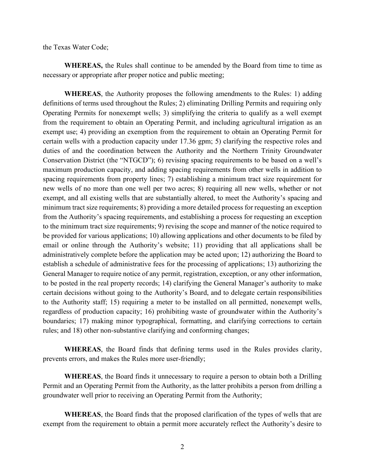the Texas Water Code;

**WHEREAS,** the Rules shall continue to be amended by the Board from time to time as necessary or appropriate after proper notice and public meeting;

**WHEREAS**, the Authority proposes the following amendments to the Rules: 1) adding definitions of terms used throughout the Rules; 2) eliminating Drilling Permits and requiring only Operating Permits for nonexempt wells; 3) simplifying the criteria to qualify as a well exempt from the requirement to obtain an Operating Permit, and including agricultural irrigation as an exempt use; 4) providing an exemption from the requirement to obtain an Operating Permit for certain wells with a production capacity under 17.36 gpm; 5) clarifying the respective roles and duties of and the coordination between the Authority and the Northern Trinity Groundwater Conservation District (the "NTGCD"); 6) revising spacing requirements to be based on a well's maximum production capacity, and adding spacing requirements from other wells in addition to spacing requirements from property lines; 7) establishing a minimum tract size requirement for new wells of no more than one well per two acres; 8) requiring all new wells, whether or not exempt, and all existing wells that are substantially altered, to meet the Authority's spacing and minimum tract size requirements; 8) providing a more detailed process for requesting an exception from the Authority's spacing requirements, and establishing a process for requesting an exception to the minimum tract size requirements; 9) revising the scope and manner of the notice required to be provided for various applications; 10) allowing applications and other documents to be filed by email or online through the Authority's website; 11) providing that all applications shall be administratively complete before the application may be acted upon; 12) authorizing the Board to establish a schedule of administrative fees for the processing of applications; 13) authorizing the General Manager to require notice of any permit, registration, exception, or any other information, to be posted in the real property records; 14) clarifying the General Manager's authority to make certain decisions without going to the Authority's Board, and to delegate certain responsibilities to the Authority staff; 15) requiring a meter to be installed on all permitted, nonexempt wells, regardless of production capacity; 16) prohibiting waste of groundwater within the Authority's boundaries; 17) making minor typographical, formatting, and clarifying corrections to certain rules; and 18) other non-substantive clarifying and conforming changes;

**WHEREAS**, the Board finds that defining terms used in the Rules provides clarity, prevents errors, and makes the Rules more user-friendly;

**WHEREAS**, the Board finds it unnecessary to require a person to obtain both a Drilling Permit and an Operating Permit from the Authority, as the latter prohibits a person from drilling a groundwater well prior to receiving an Operating Permit from the Authority;

**WHEREAS**, the Board finds that the proposed clarification of the types of wells that are exempt from the requirement to obtain a permit more accurately reflect the Authority's desire to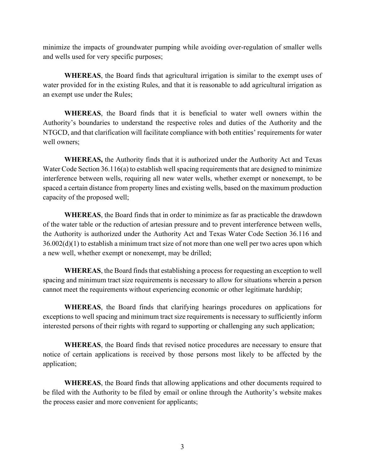minimize the impacts of groundwater pumping while avoiding over-regulation of smaller wells and wells used for very specific purposes;

**WHEREAS**, the Board finds that agricultural irrigation is similar to the exempt uses of water provided for in the existing Rules, and that it is reasonable to add agricultural irrigation as an exempt use under the Rules;

**WHEREAS**, the Board finds that it is beneficial to water well owners within the Authority's boundaries to understand the respective roles and duties of the Authority and the NTGCD, and that clarification will facilitate compliance with both entities' requirements for water well owners;

**WHEREAS,** the Authority finds that it is authorized under the Authority Act and Texas Water Code Section 36.116(a) to establish well spacing requirements that are designed to minimize interference between wells, requiring all new water wells, whether exempt or nonexempt, to be spaced a certain distance from property lines and existing wells, based on the maximum production capacity of the proposed well;

**WHEREAS**, the Board finds that in order to minimize as far as practicable the drawdown of the water table or the reduction of artesian pressure and to prevent interference between wells, the Authority is authorized under the Authority Act and Texas Water Code Section 36.116 and  $36.002(d)(1)$  to establish a minimum tract size of not more than one well per two acres upon which a new well, whether exempt or nonexempt, may be drilled;

**WHEREAS**, the Board finds that establishing a process for requesting an exception to well spacing and minimum tract size requirements is necessary to allow for situations wherein a person cannot meet the requirements without experiencing economic or other legitimate hardship;

**WHEREAS**, the Board finds that clarifying hearings procedures on applications for exceptions to well spacing and minimum tract size requirements is necessary to sufficiently inform interested persons of their rights with regard to supporting or challenging any such application;

**WHEREAS**, the Board finds that revised notice procedures are necessary to ensure that notice of certain applications is received by those persons most likely to be affected by the application;

**WHEREAS**, the Board finds that allowing applications and other documents required to be filed with the Authority to be filed by email or online through the Authority's website makes the process easier and more convenient for applicants;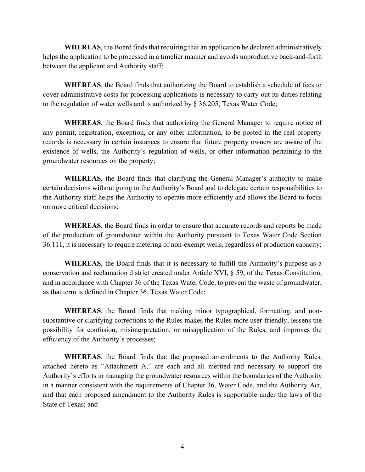**WHEREAS**, the Board finds that requiring that an application be declared administratively helps the application to be processed in a timelier manner and avoids unproductive back-and-forth between the applicant and Authority staff;

**WHEREAS**, the Board finds that authorizing the Board to establish a schedule of fees to cover administrative costs for processing applications is necessary to carry out its duties relating to the regulation of water wells and is authorized by § 36.205, Texas Water Code;

**WHEREAS**, the Board finds that authorizing the General Manager to require notice of any permit, registration, exception, or any other information, to be posted in the real property records is necessary in certain instances to ensure that future property owners are aware of the existence of wells, the Authority's regulation of wells, or other information pertaining to the groundwater resources on the property;

**WHEREAS**, the Board finds that clarifying the General Manager's authority to make certain decisions without going to the Authority's Board and to delegate certain responsibilities to the Authority staff helps the Authority to operate more efficiently and allows the Board to focus on more critical decisions;

**WHEREAS**, the Board finds in order to ensure that accurate records and reports be made of the production of groundwater within the Authority pursuant to Texas Water Code Section 36.111, it is necessary to require metering of non-exempt wells, regardless of production capacity;

**WHEREAS**, the Board finds that it is necessary to fulfill the Authority's purpose as a conservation and reclamation district created under Article XVI, § 59, of the Texas Constitution, and in accordance with Chapter 36 of the Texas Water Code, to prevent the waste of groundwater, as that term is defined in Chapter 36, Texas Water Code;

**WHEREAS**, the Board finds that making minor typographical, formatting, and nonsubstantive or clarifying corrections to the Rules makes the Rules more user-friendly, lessens the possibility for confusion, misinterpretation, or misapplication of the Rules, and improves the efficiency of the Authority's processes;

**WHEREAS**, the Board finds that the proposed amendments to the Authority Rules, attached hereto as "Attachment A," are each and all merited and necessary to support the Authority's efforts in managing the groundwater resources within the boundaries of the Authority in a manner consistent with the requirements of Chapter 36, Water Code, and the Authority Act, and that each proposed amendment to the Authority Rules is supportable under the laws of the State of Texas; and